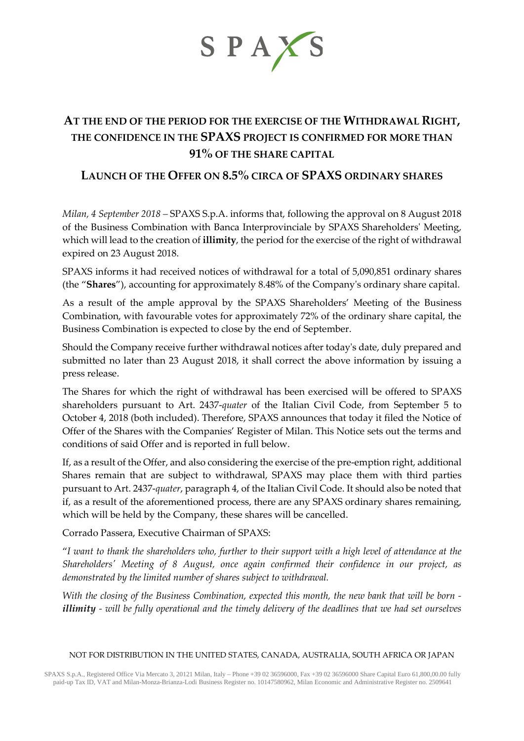

# **AT THE END OF THE PERIOD FOR THE EXERCISE OF THE WITHDRAWAL RIGHT, THE CONFIDENCE IN THE SPAXS PROJECT IS CONFIRMED FOR MORE THAN 91% OF THE SHARE CAPITAL**

# **LAUNCH OF THE OFFER ON 8.5% CIRCA OF SPAXS ORDINARY SHARES**

*Milan, 4 September 2018 –* SPAXS S.p.A. informs that, following the approval on 8 August 2018 of the Business Combination with Banca Interprovinciale by SPAXS Shareholders' Meeting, which will lead to the creation of **illimity**, the period for the exercise of the right of withdrawal expired on 23 August 2018.

SPAXS informs it had received notices of withdrawal for a total of 5,090,851 ordinary shares (the "**Shares**"), accounting for approximately 8.48% of the Company's ordinary share capital.

As a result of the ample approval by the SPAXS Shareholders' Meeting of the Business Combination, with favourable votes for approximately 72% of the ordinary share capital, the Business Combination is expected to close by the end of September.

Should the Company receive further withdrawal notices after today's date, duly prepared and submitted no later than 23 August 2018, it shall correct the above information by issuing a press release.

The Shares for which the right of withdrawal has been exercised will be offered to SPAXS shareholders pursuant to Art. 2437-*quater* of the Italian Civil Code, from September 5 to October 4, 2018 (both included). Therefore, SPAXS announces that today it filed the Notice of Offer of the Shares with the Companies' Register of Milan. This Notice sets out the terms and conditions of said Offer and is reported in full below.

If, as a result of the Offer, and also considering the exercise of the pre-emption right, additional Shares remain that are subject to withdrawal, SPAXS may place them with third parties pursuant to Art. 2437-*quater*, paragraph 4, of the Italian Civil Code. It should also be noted that if, as a result of the aforementioned process, there are any SPAXS ordinary shares remaining, which will be held by the Company, these shares will be cancelled.

Corrado Passera, Executive Chairman of SPAXS:

"*I want to thank the shareholders who, further to their support with a high level of attendance at the Shareholders' Meeting of 8 August, once again confirmed their confidence in our project, as demonstrated by the limited number of shares subject to withdrawal.*

*With the closing of the Business Combination, expected this month, the new bank that will be born illimity - will be fully operational and the timely delivery of the deadlines that we had set ourselves*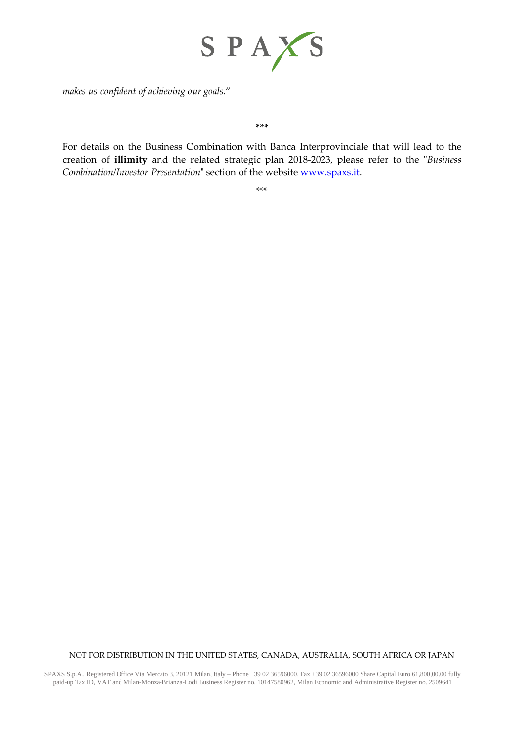

*makes us confident of achieving our goals.*"

#### **\*\*\***

For details on the Business Combination with Banca Interprovinciale that will lead to the creation of **illimity** and the related strategic plan 2018-2023, please refer to the "*Business Combination/Investor Presentation*" section of the website [www.spaxs.it.](http://www.spaxs.it/)

\*\*\*

### NOT FOR DISTRIBUTION IN THE UNITED STATES, CANADA, AUSTRALIA, SOUTH AFRICA OR JAPAN

SPAXS S.p.A., Registered Office Via Mercato 3, 20121 Milan, Italy – Phone +39 02 36596000, Fax +39 02 36596000 Share Capital Euro 61,800,00.00 fully paid-up Tax ID, VAT and Milan-Monza-Brianza-Lodi Business Register no. 10147580962, Milan Economic and Administrative Register no. 2509641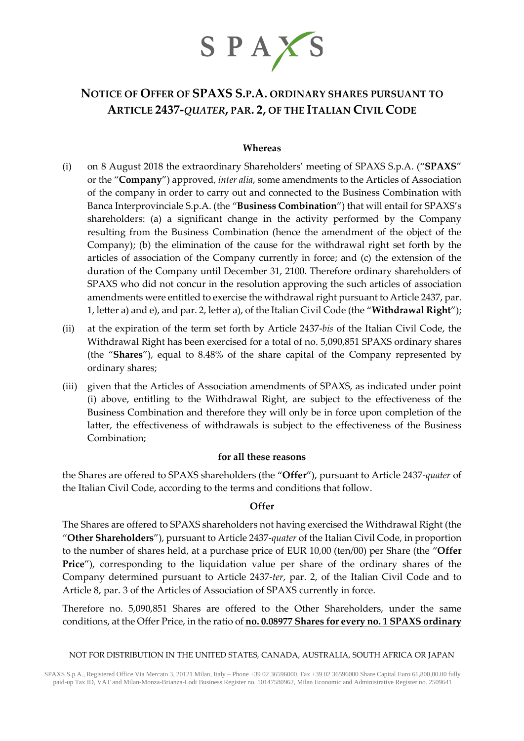

# **NOTICE OF OFFER OF SPAXS S.P.A. ORDINARY SHARES PURSUANT TO ARTICLE 2437-***QUATER***, PAR. 2, OF THE ITALIAN CIVIL CODE**

## **Whereas**

- (i) on 8 August 2018 the extraordinary Shareholders' meeting of SPAXS S.p.A. ("**SPAXS**" or the "**Company**") approved, *inter alia*, some amendments to the Articles of Association of the company in order to carry out and connected to the Business Combination with Banca Interprovinciale S.p.A. (the "**Business Combination**") that will entail for SPAXS's shareholders: (a) a significant change in the activity performed by the Company resulting from the Business Combination (hence the amendment of the object of the Company); (b) the elimination of the cause for the withdrawal right set forth by the articles of association of the Company currently in force; and (c) the extension of the duration of the Company until December 31, 2100. Therefore ordinary shareholders of SPAXS who did not concur in the resolution approving the such articles of association amendments were entitled to exercise the withdrawal right pursuant to Article 2437, par. 1, letter a) and e), and par. 2, letter a), of the Italian Civil Code (the "**Withdrawal Right**");
- (ii) at the expiration of the term set forth by Article 2437-*bis* of the Italian Civil Code, the Withdrawal Right has been exercised for a total of no. 5,090,851 SPAXS ordinary shares (the "**Shares**"), equal to 8.48% of the share capital of the Company represented by ordinary shares;
- (iii) given that the Articles of Association amendments of SPAXS, as indicated under point (i) above, entitling to the Withdrawal Right, are subject to the effectiveness of the Business Combination and therefore they will only be in force upon completion of the latter, the effectiveness of withdrawals is subject to the effectiveness of the Business Combination;

## **for all these reasons**

the Shares are offered to SPAXS shareholders (the "**Offer**"), pursuant to Article 2437-*quater* of the Italian Civil Code, according to the terms and conditions that follow.

### **Offer**

The Shares are offered to SPAXS shareholders not having exercised the Withdrawal Right (the "**Other Shareholders**"), pursuant to Article 2437-*quater* of the Italian Civil Code, in proportion to the number of shares held, at a purchase price of EUR 10,00 (ten/00) per Share (the "**Offer Price**"), corresponding to the liquidation value per share of the ordinary shares of the Company determined pursuant to Article 2437-*ter*, par. 2, of the Italian Civil Code and to Article 8, par. 3 of the Articles of Association of SPAXS currently in force.

Therefore no. 5,090,851 Shares are offered to the Other Shareholders, under the same conditions, at the Offer Price, in the ratio of **no. 0.08977 Shares for every no. 1 SPAXS ordinary**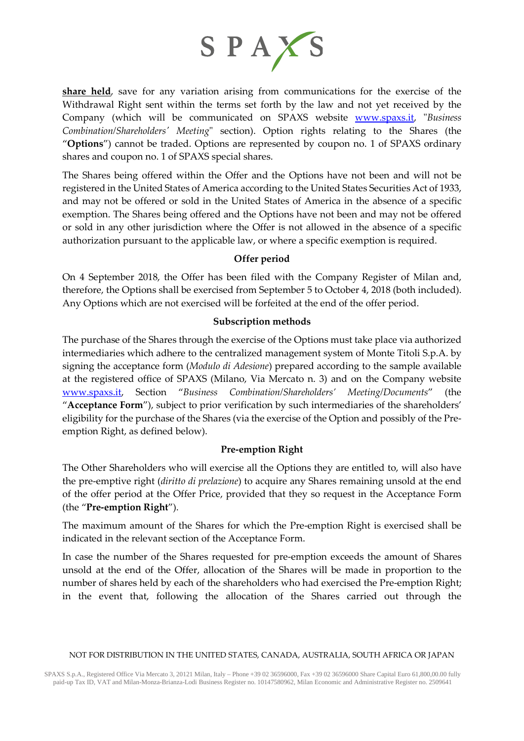

**share held**, save for any variation arising from communications for the exercise of the Withdrawal Right sent within the terms set forth by the law and not yet received by the Company (which will be communicated on SPAXS website [www.spaxs.it,](http://www.spaxs.it/) "*Business Combination/Shareholders' Meeting*" section). Option rights relating to the Shares (the "**Options**") cannot be traded. Options are represented by coupon no. 1 of SPAXS ordinary shares and coupon no. 1 of SPAXS special shares.

The Shares being offered within the Offer and the Options have not been and will not be registered in the United States of America according to the United States Securities Act of 1933, and may not be offered or sold in the United States of America in the absence of a specific exemption. The Shares being offered and the Options have not been and may not be offered or sold in any other jurisdiction where the Offer is not allowed in the absence of a specific authorization pursuant to the applicable law, or where a specific exemption is required.

## **Offer period**

On 4 September 2018, the Offer has been filed with the Company Register of Milan and, therefore, the Options shall be exercised from September 5 to October 4, 2018 (both included). Any Options which are not exercised will be forfeited at the end of the offer period.

## **Subscription methods**

The purchase of the Shares through the exercise of the Options must take place via authorized intermediaries which adhere to the centralized management system of Monte Titoli S.p.A. by signing the acceptance form (*Modulo di Adesione*) prepared according to the sample available at the registered office of SPAXS (Milano, Via Mercato n. 3) and on the Company website [www.spaxs.it,](http://www.spaxs.it/) Section "*Business Combination/Shareholders' Meeting/Documents*" (the "**Acceptance Form**"), subject to prior verification by such intermediaries of the shareholders' eligibility for the purchase of the Shares (via the exercise of the Option and possibly of the Preemption Right, as defined below).

## **Pre-emption Right**

The Other Shareholders who will exercise all the Options they are entitled to, will also have the pre-emptive right (*diritto di prelazione*) to acquire any Shares remaining unsold at the end of the offer period at the Offer Price, provided that they so request in the Acceptance Form (the "**Pre-emption Right**").

The maximum amount of the Shares for which the Pre-emption Right is exercised shall be indicated in the relevant section of the Acceptance Form.

In case the number of the Shares requested for pre-emption exceeds the amount of Shares unsold at the end of the Offer, allocation of the Shares will be made in proportion to the number of shares held by each of the shareholders who had exercised the Pre-emption Right; in the event that, following the allocation of the Shares carried out through the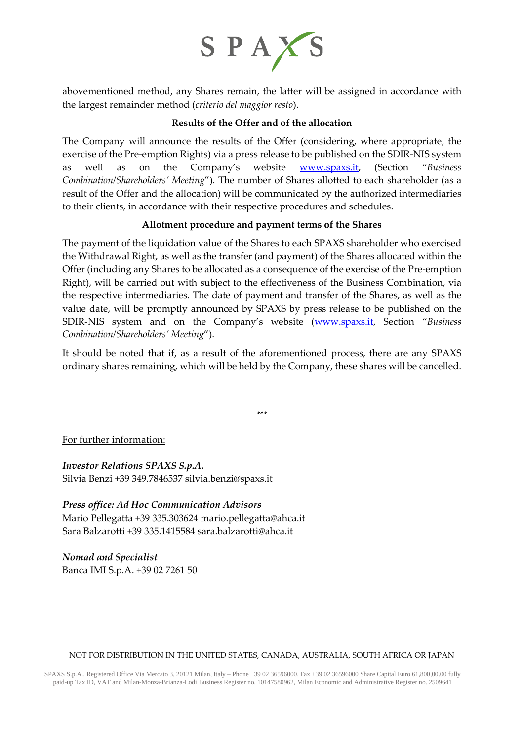

abovementioned method, any Shares remain, the latter will be assigned in accordance with the largest remainder method (*criterio del maggior resto*).

## **Results of the Offer and of the allocation**

The Company will announce the results of the Offer (considering, where appropriate, the exercise of the Pre-emption Rights) via a press release to be published on the SDIR-NIS system as well as on the Company's website [www.spaxs.it,](http://www.spaxs.it/) (Section "*Business Combination/Shareholders' Meeting*"). The number of Shares allotted to each shareholder (as a result of the Offer and the allocation) will be communicated by the authorized intermediaries to their clients, in accordance with their respective procedures and schedules.

## **Allotment procedure and payment terms of the Shares**

The payment of the liquidation value of the Shares to each SPAXS shareholder who exercised the Withdrawal Right, as well as the transfer (and payment) of the Shares allocated within the Offer (including any Shares to be allocated as a consequence of the exercise of the Pre-emption Right), will be carried out with subject to the effectiveness of the Business Combination, via the respective intermediaries. The date of payment and transfer of the Shares, as well as the value date, will be promptly announced by SPAXS by press release to be published on the SDIR-NIS system and on the Company's website [\(www.spaxs.it,](http://www.spaxs.it/) Section "*Business Combination/Shareholders' Meeting*").

It should be noted that if, as a result of the aforementioned process, there are any SPAXS ordinary shares remaining, which will be held by the Company, these shares will be cancelled.

\*\*\*

For further information:

*Investor Relations SPAXS S.p.A.* Silvia Benzi +39 349.7846537 [silvia.benzi@spaxs.it](mailto:silvia.benzi@spaxs.it)

*Press office: Ad Hoc Communication Advisors* Mario Pellegatta +39 335.303624 [mario.pellegatta@ahca.it](mailto:mario.pellegatta@ahca.it) Sara Balzarotti +39 335.1415584 [sara.balzarotti@ahca.it](mailto:sara.balzarotti@ahca.it)

*Nomad and Specialist* Banca IMI S.p.A. +39 02 7261 50